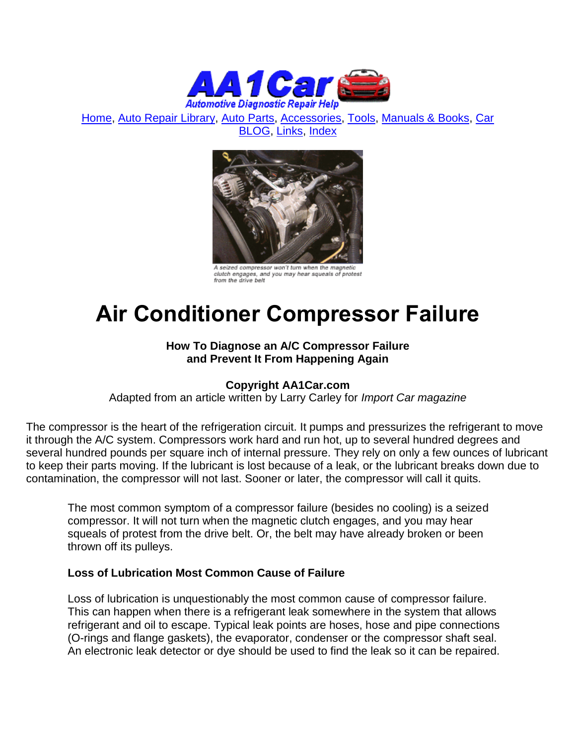

[Home,](http://www.aa1car.com/) [Auto Repair Library,](http://www.aa1car.com/library.htm) [Auto Parts,](http://www.aa1car.com/links_parts.htm) [Accessories,](http://www.aa1car.com/links_accessories.htm) [Tools,](http://www.aa1car.com/links_tools.htm) [Manuals & Books,](http://www.aa1car.com/links_books.htm) [Car](http://www.aa1car.com/blog/blog.htm)  [BLOG,](http://www.aa1car.com/blog/blog.htm) [Links,](http://www.aa1car.com/links.htm) [Index](http://www.aa1car.com/index_alphabetical.htm)



A seized compressor won't turn when the magnetic clutch engages, and you may hear squeals of protest<br>from the drive belt

# **Air Conditioner Compressor Failure**

## **How To Diagnose an A/C Compressor Failure and Prevent It From Happening Again**

## **Copyright AA1Car.com**

Adapted from an article written by Larry Carley for *Import Car magazine*

The compressor is the heart of the refrigeration circuit. It pumps and pressurizes the refrigerant to move it through the A/C system. Compressors work hard and run hot, up to several hundred degrees and several hundred pounds per square inch of internal pressure. They rely on only a few ounces of lubricant to keep their parts moving. If the lubricant is lost because of a leak, or the lubricant breaks down due to contamination, the compressor will not last. Sooner or later, the compressor will call it quits.

The most common symptom of a compressor failure (besides no cooling) is a seized compressor. It will not turn when the magnetic clutch engages, and you may hear squeals of protest from the drive belt. Or, the belt may have already broken or been thrown off its pulleys.

#### **Loss of Lubrication Most Common Cause of Failure**

Loss of lubrication is unquestionably the most common cause of compressor failure. This can happen when there is a refrigerant leak somewhere in the system that allows refrigerant and oil to escape. Typical leak points are hoses, hose and pipe connections (O-rings and flange gaskets), the evaporator, condenser or the compressor shaft seal. An electronic leak detector or dye should be used to find the leak so it can be repaired.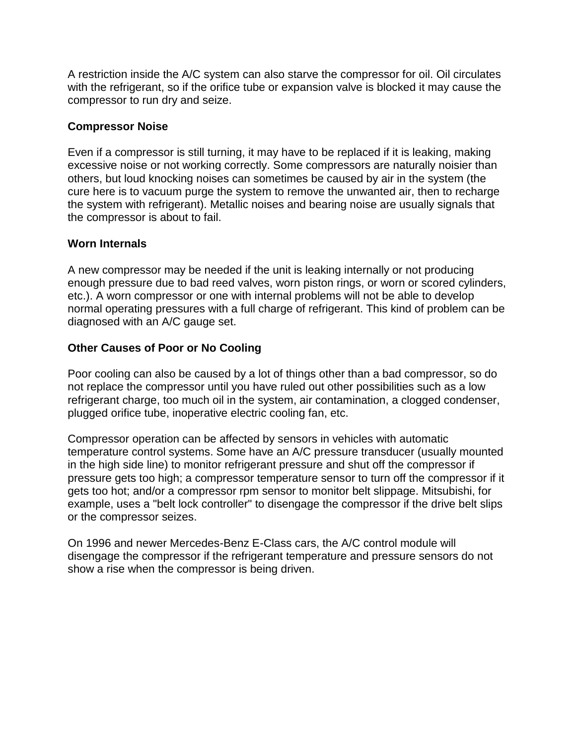A restriction inside the A/C system can also starve the compressor for oil. Oil circulates with the refrigerant, so if the orifice tube or expansion valve is blocked it may cause the compressor to run dry and seize.

#### **Compressor Noise**

Even if a compressor is still turning, it may have to be replaced if it is leaking, making excessive noise or not working correctly. Some compressors are naturally noisier than others, but loud knocking noises can sometimes be caused by air in the system (the cure here is to vacuum purge the system to remove the unwanted air, then to recharge the system with refrigerant). Metallic noises and bearing noise are usually signals that the compressor is about to fail.

#### **Worn Internals**

A new compressor may be needed if the unit is leaking internally or not producing enough pressure due to bad reed valves, worn piston rings, or worn or scored cylinders, etc.). A worn compressor or one with internal problems will not be able to develop normal operating pressures with a full charge of refrigerant. This kind of problem can be diagnosed with an A/C gauge set.

## **Other Causes of Poor or No Cooling**

Poor cooling can also be caused by a lot of things other than a bad compressor, so do not replace the compressor until you have ruled out other possibilities such as a low refrigerant charge, too much oil in the system, air contamination, a clogged condenser, plugged orifice tube, inoperative electric cooling fan, etc.

Compressor operation can be affected by sensors in vehicles with automatic temperature control systems. Some have an A/C pressure transducer (usually mounted in the high side line) to monitor refrigerant pressure and shut off the compressor if pressure gets too high; a compressor temperature sensor to turn off the compressor if it gets too hot; and/or a compressor rpm sensor to monitor belt slippage. Mitsubishi, for example, uses a "belt lock controller" to disengage the compressor if the drive belt slips or the compressor seizes.

On 1996 and newer Mercedes-Benz E-Class cars, the A/C control module will disengage the compressor if the refrigerant temperature and pressure sensors do not show a rise when the compressor is being driven.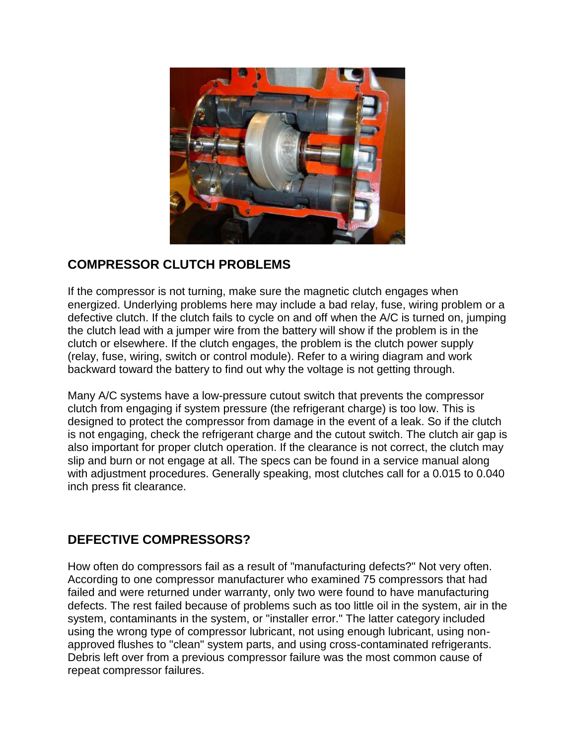

## **COMPRESSOR CLUTCH PROBLEMS**

If the compressor is not turning, make sure the magnetic clutch engages when energized. Underlying problems here may include a bad relay, fuse, wiring problem or a defective clutch. If the clutch fails to cycle on and off when the A/C is turned on, jumping the clutch lead with a jumper wire from the battery will show if the problem is in the clutch or elsewhere. If the clutch engages, the problem is the clutch power supply (relay, fuse, wiring, switch or control module). Refer to a wiring diagram and work backward toward the battery to find out why the voltage is not getting through.

Many A/C systems have a low-pressure cutout switch that prevents the compressor clutch from engaging if system pressure (the refrigerant charge) is too low. This is designed to protect the compressor from damage in the event of a leak. So if the clutch is not engaging, check the refrigerant charge and the cutout switch. The clutch air gap is also important for proper clutch operation. If the clearance is not correct, the clutch may slip and burn or not engage at all. The specs can be found in a service manual along with adjustment procedures. Generally speaking, most clutches call for a 0.015 to 0.040 inch press fit clearance.

# **DEFECTIVE COMPRESSORS?**

How often do compressors fail as a result of "manufacturing defects?" Not very often. According to one compressor manufacturer who examined 75 compressors that had failed and were returned under warranty, only two were found to have manufacturing defects. The rest failed because of problems such as too little oil in the system, air in the system, contaminants in the system, or "installer error." The latter category included using the wrong type of compressor lubricant, not using enough lubricant, using nonapproved flushes to "clean" system parts, and using cross-contaminated refrigerants. Debris left over from a previous compressor failure was the most common cause of repeat compressor failures.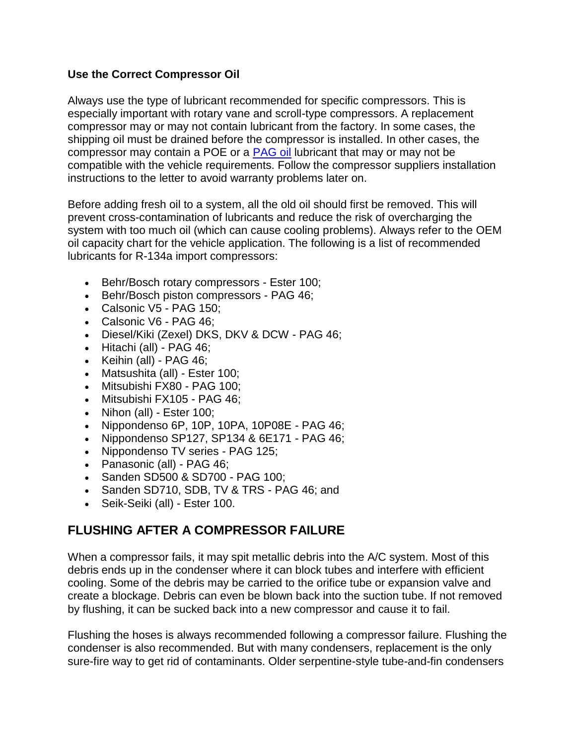## **Use the Correct Compressor Oil**

Always use the type of lubricant recommended for specific compressors. This is especially important with rotary vane and scroll-type compressors. A replacement compressor may or may not contain lubricant from the factory. In some cases, the shipping oil must be drained before the compressor is installed. In other cases, the compressor may contain a POE or a [PAG oil](http://www.aa1car.com/library/pagoil.htm) lubricant that may or may not be compatible with the vehicle requirements. Follow the compressor suppliers installation instructions to the letter to avoid warranty problems later on.

Before adding fresh oil to a system, all the old oil should first be removed. This will prevent cross-contamination of lubricants and reduce the risk of overcharging the system with too much oil (which can cause cooling problems). Always refer to the OEM oil capacity chart for the vehicle application. The following is a list of recommended lubricants for R-134a import compressors:

- Behr/Bosch rotary compressors Ester 100;
- Behr/Bosch piston compressors PAG 46;
- Calsonic V5 PAG 150;
- Calsonic V6 PAG 46;
- Diesel/Kiki (Zexel) DKS, DKV & DCW PAG 46;
- $\bullet$  Hitachi (all) PAG 46;
- $\bullet$  Keihin (all) PAG 46;
- Matsushita (all) Ester 100:
- Mitsubishi FX80 PAG 100;
- Mitsubishi FX105 PAG 46;
- $\bullet$  Nihon (all) Ester 100;
- $\bullet$  Nippondenso 6P, 10P, 10PA, 10P08E PAG 46;
- $\bullet$  Nippondenso SP127, SP134 & 6E171 PAG 46;
- Nippondenso TV series PAG 125;
- Panasonic (all) PAG 46;
- Sanden SD500 & SD700 PAG 100:
- Sanden SD710, SDB, TV & TRS PAG 46; and
- Seik-Seiki (all) Ester 100.

## **FLUSHING AFTER A COMPRESSOR FAILURE**

When a compressor fails, it may spit metallic debris into the A/C system. Most of this debris ends up in the condenser where it can block tubes and interfere with efficient cooling. Some of the debris may be carried to the orifice tube or expansion valve and create a blockage. Debris can even be blown back into the suction tube. If not removed by flushing, it can be sucked back into a new compressor and cause it to fail.

Flushing the hoses is always recommended following a compressor failure. Flushing the condenser is also recommended. But with many condensers, replacement is the only sure-fire way to get rid of contaminants. Older serpentine-style tube-and-fin condensers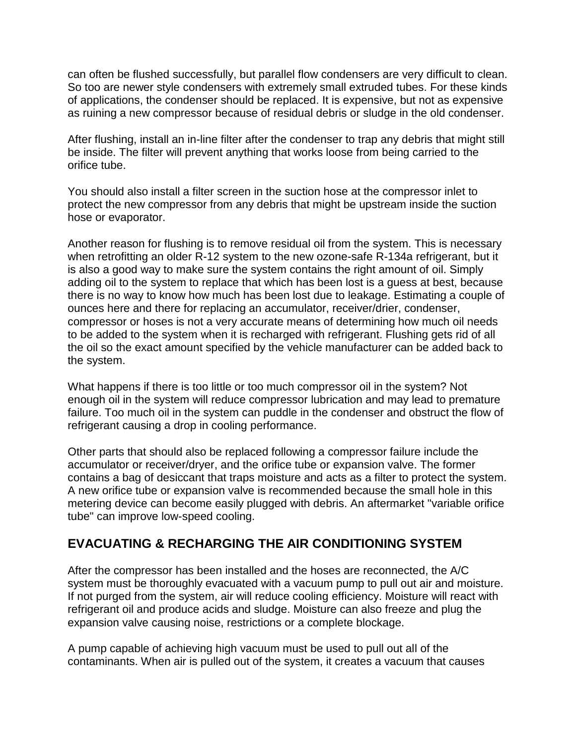can often be flushed successfully, but parallel flow condensers are very difficult to clean. So too are newer style condensers with extremely small extruded tubes. For these kinds of applications, the condenser should be replaced. It is expensive, but not as expensive as ruining a new compressor because of residual debris or sludge in the old condenser.

After flushing, install an in-line filter after the condenser to trap any debris that might still be inside. The filter will prevent anything that works loose from being carried to the orifice tube.

You should also install a filter screen in the suction hose at the compressor inlet to protect the new compressor from any debris that might be upstream inside the suction hose or evaporator.

Another reason for flushing is to remove residual oil from the system. This is necessary when retrofitting an older R-12 system to the new ozone-safe R-134a refrigerant, but it is also a good way to make sure the system contains the right amount of oil. Simply adding oil to the system to replace that which has been lost is a guess at best, because there is no way to know how much has been lost due to leakage. Estimating a couple of ounces here and there for replacing an accumulator, receiver/drier, condenser, compressor or hoses is not a very accurate means of determining how much oil needs to be added to the system when it is recharged with refrigerant. Flushing gets rid of all the oil so the exact amount specified by the vehicle manufacturer can be added back to the system.

What happens if there is too little or too much compressor oil in the system? Not enough oil in the system will reduce compressor lubrication and may lead to premature failure. Too much oil in the system can puddle in the condenser and obstruct the flow of refrigerant causing a drop in cooling performance.

Other parts that should also be replaced following a compressor failure include the accumulator or receiver/dryer, and the orifice tube or expansion valve. The former contains a bag of desiccant that traps moisture and acts as a filter to protect the system. A new orifice tube or expansion valve is recommended because the small hole in this metering device can become easily plugged with debris. An aftermarket "variable orifice tube" can improve low-speed cooling.

# **EVACUATING & RECHARGING THE AIR CONDITIONING SYSTEM**

After the compressor has been installed and the hoses are reconnected, the A/C system must be thoroughly evacuated with a vacuum pump to pull out air and moisture. If not purged from the system, air will reduce cooling efficiency. Moisture will react with refrigerant oil and produce acids and sludge. Moisture can also freeze and plug the expansion valve causing noise, restrictions or a complete blockage.

A pump capable of achieving high vacuum must be used to pull out all of the contaminants. When air is pulled out of the system, it creates a vacuum that causes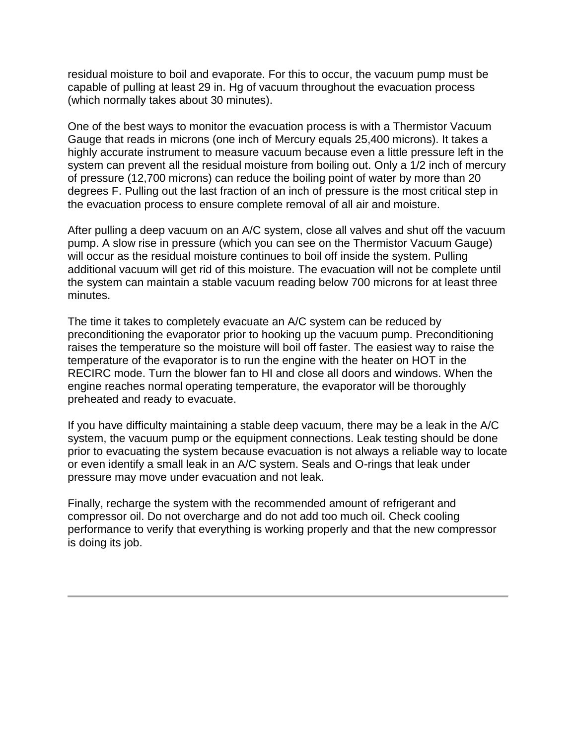residual moisture to boil and evaporate. For this to occur, the vacuum pump must be capable of pulling at least 29 in. Hg of vacuum throughout the evacuation process (which normally takes about 30 minutes).

One of the best ways to monitor the evacuation process is with a Thermistor Vacuum Gauge that reads in microns (one inch of Mercury equals 25,400 microns). It takes a highly accurate instrument to measure vacuum because even a little pressure left in the system can prevent all the residual moisture from boiling out. Only a 1/2 inch of mercury of pressure (12,700 microns) can reduce the boiling point of water by more than 20 degrees F. Pulling out the last fraction of an inch of pressure is the most critical step in the evacuation process to ensure complete removal of all air and moisture.

After pulling a deep vacuum on an A/C system, close all valves and shut off the vacuum pump. A slow rise in pressure (which you can see on the Thermistor Vacuum Gauge) will occur as the residual moisture continues to boil off inside the system. Pulling additional vacuum will get rid of this moisture. The evacuation will not be complete until the system can maintain a stable vacuum reading below 700 microns for at least three minutes.

The time it takes to completely evacuate an A/C system can be reduced by preconditioning the evaporator prior to hooking up the vacuum pump. Preconditioning raises the temperature so the moisture will boil off faster. The easiest way to raise the temperature of the evaporator is to run the engine with the heater on HOT in the RECIRC mode. Turn the blower fan to HI and close all doors and windows. When the engine reaches normal operating temperature, the evaporator will be thoroughly preheated and ready to evacuate.

If you have difficulty maintaining a stable deep vacuum, there may be a leak in the A/C system, the vacuum pump or the equipment connections. Leak testing should be done prior to evacuating the system because evacuation is not always a reliable way to locate or even identify a small leak in an A/C system. Seals and O-rings that leak under pressure may move under evacuation and not leak.

Finally, recharge the system with the recommended amount of refrigerant and compressor oil. Do not overcharge and do not add too much oil. Check cooling performance to verify that everything is working properly and that the new compressor is doing its job.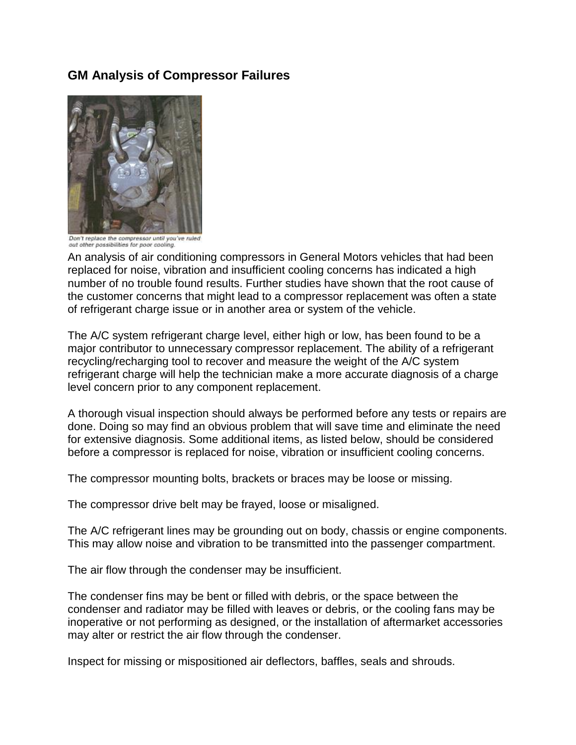## **GM Analysis of Compressor Failures**



Don't replace the compressor until you've ruled out other possibilities for poor cooling.

An analysis of air conditioning compressors in General Motors vehicles that had been replaced for noise, vibration and insufficient cooling concerns has indicated a high number of no trouble found results. Further studies have shown that the root cause of the customer concerns that might lead to a compressor replacement was often a state of refrigerant charge issue or in another area or system of the vehicle.

The A/C system refrigerant charge level, either high or low, has been found to be a major contributor to unnecessary compressor replacement. The ability of a refrigerant recycling/recharging tool to recover and measure the weight of the A/C system refrigerant charge will help the technician make a more accurate diagnosis of a charge level concern prior to any component replacement.

A thorough visual inspection should always be performed before any tests or repairs are done. Doing so may find an obvious problem that will save time and eliminate the need for extensive diagnosis. Some additional items, as listed below, should be considered before a compressor is replaced for noise, vibration or insufficient cooling concerns.

The compressor mounting bolts, brackets or braces may be loose or missing.

The compressor drive belt may be frayed, loose or misaligned.

The A/C refrigerant lines may be grounding out on body, chassis or engine components. This may allow noise and vibration to be transmitted into the passenger compartment.

The air flow through the condenser may be insufficient.

The condenser fins may be bent or filled with debris, or the space between the condenser and radiator may be filled with leaves or debris, or the cooling fans may be inoperative or not performing as designed, or the installation of aftermarket accessories may alter or restrict the air flow through the condenser.

Inspect for missing or mispositioned air deflectors, baffles, seals and shrouds.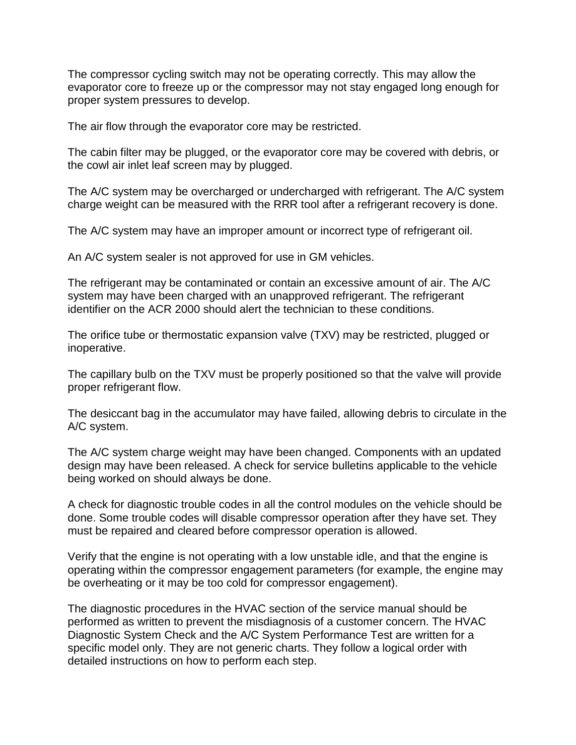The compressor cycling switch may not be operating correctly. This may allow the evaporator core to freeze up or the compressor may not stay engaged long enough for proper system pressures to develop.

The air flow through the evaporator core may be restricted.

The cabin filter may be plugged, or the evaporator core may be covered with debris, or the cowl air inlet leaf screen may by plugged.

The A/C system may be overcharged or undercharged with refrigerant. The A/C system charge weight can be measured with the RRR tool after a refrigerant recovery is done.

The A/C system may have an improper amount or incorrect type of refrigerant oil.

An A/C system sealer is not approved for use in GM vehicles.

The refrigerant may be contaminated or contain an excessive amount of air. The A/C system may have been charged with an unapproved refrigerant. The refrigerant identifier on the ACR 2000 should alert the technician to these conditions.

The orifice tube or thermostatic expansion valve (TXV) may be restricted, plugged or inoperative.

The capillary bulb on the TXV must be properly positioned so that the valve will provide proper refrigerant flow.

The desiccant bag in the accumulator may have failed, allowing debris to circulate in the A/C system.

The A/C system charge weight may have been changed. Components with an updated design may have been released. A check for service bulletins applicable to the vehicle being worked on should always be done.

A check for diagnostic trouble codes in all the control modules on the vehicle should be done. Some trouble codes will disable compressor operation after they have set. They must be repaired and cleared before compressor operation is allowed.

Verify that the engine is not operating with a low unstable idle, and that the engine is operating within the compressor engagement parameters (for example, the engine may be overheating or it may be too cold for compressor engagement).

The diagnostic procedures in the HVAC section of the service manual should be performed as written to prevent the misdiagnosis of a customer concern. The HVAC Diagnostic System Check and the A/C System Performance Test are written for a specific model only. They are not generic charts. They follow a logical order with detailed instructions on how to perform each step.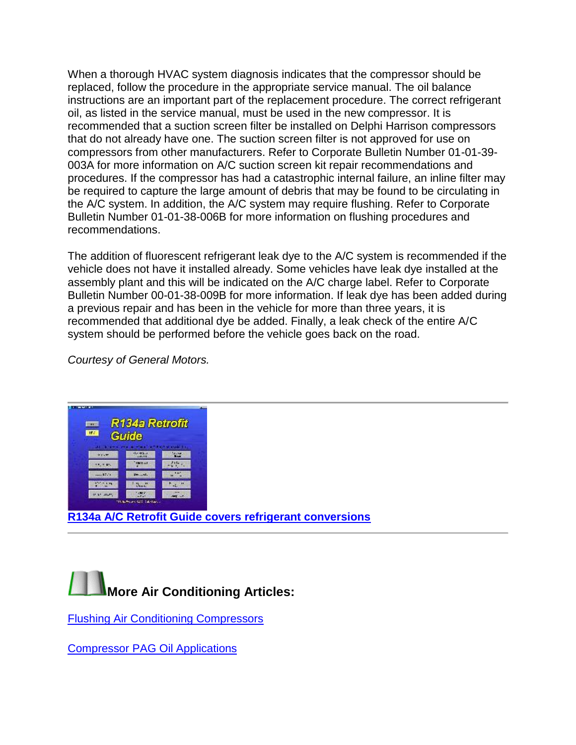When a thorough HVAC system diagnosis indicates that the compressor should be replaced, follow the procedure in the appropriate service manual. The oil balance instructions are an important part of the replacement procedure. The correct refrigerant oil, as listed in the service manual, must be used in the new compressor. It is recommended that a suction screen filter be installed on Delphi Harrison compressors that do not already have one. The suction screen filter is not approved for use on compressors from other manufacturers. Refer to Corporate Bulletin Number 01-01-39- 003A for more information on A/C suction screen kit repair recommendations and procedures. If the compressor has had a catastrophic internal failure, an inline filter may be required to capture the large amount of debris that may be found to be circulating in the A/C system. In addition, the A/C system may require flushing. Refer to Corporate Bulletin Number 01-01-38-006B for more information on flushing procedures and recommendations.

The addition of fluorescent refrigerant leak dye to the A/C system is recommended if the vehicle does not have it installed already. Some vehicles have leak dye installed at the assembly plant and this will be indicated on the A/C charge label. Refer to Corporate Bulletin Number 00-01-38-009B for more information. If leak dye has been added during a previous repair and has been in the vehicle for more than three years, it is recommended that additional dye be added. Finally, a leak check of the entire A/C system should be performed before the vehicle goes back on the road.

*Courtesy of General Motors.*





[Flushing Air Conditioning Compressors](http://www.aa1car.com/library/2003/us40330.htm)

[Compressor PAG Oil Applications](http://www.aa1car.com/library/pagoil.htm)